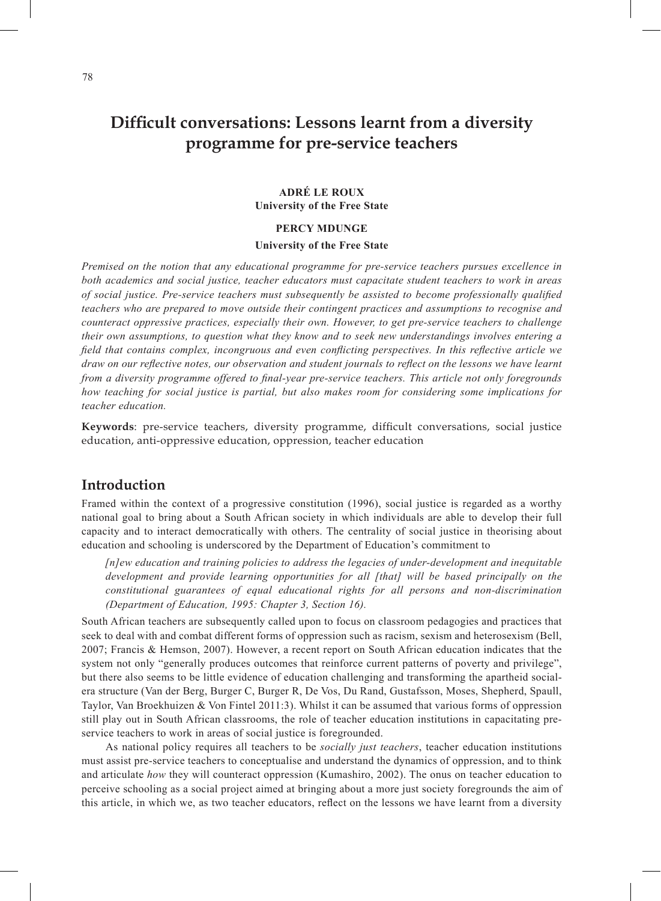# **Difficult conversations: Lessons learnt from a diversity programme for pre-service teachers**

#### **ADRÉ LE ROUX University of the Free State**

### **PERCY MDUNGE University of the Free State**

*Premised on the notion that any educational programme for pre-service teachers pursues excellence in both academics and social justice, teacher educators must capacitate student teachers to work in areas of social justice. Pre-service teachers must subsequently be assisted to become professionally qualified teachers who are prepared to move outside their contingent practices and assumptions to recognise and counteract oppressive practices, especially their own. However, to get pre-service teachers to challenge their own assumptions, to question what they know and to seek new understandings involves entering a field that contains complex, incongruous and even conflicting perspectives. In this reflective article we draw on our reflective notes, our observation and student journals to reflect on the lessons we have learnt from a diversity programme offered to final-year pre-service teachers. This article not only foregrounds how teaching for social justice is partial, but also makes room for considering some implications for teacher education.*

**Keywords**: pre-service teachers, diversity programme, difficult conversations, social justice education, anti-oppressive education, oppression, teacher education

### **Introduction**

Framed within the context of a progressive constitution (1996), social justice is regarded as a worthy national goal to bring about a South African society in which individuals are able to develop their full capacity and to interact democratically with others. The centrality of social justice in theorising about education and schooling is underscored by the Department of Education's commitment to

*[n]ew education and training policies to address the legacies of under-development and inequitable*  development and provide learning opportunities for all [that] will be based principally on the *constitutional guarantees of equal educational rights for all persons and non-discrimination (Department of Education, 1995: Chapter 3, Section 16).*

South African teachers are subsequently called upon to focus on classroom pedagogies and practices that seek to deal with and combat different forms of oppression such as racism, sexism and heterosexism (Bell, 2007; Francis & Hemson, 2007). However, a recent report on South African education indicates that the system not only "generally produces outcomes that reinforce current patterns of poverty and privilege", but there also seems to be little evidence of education challenging and transforming the apartheid socialera structure (Van der Berg, Burger C, Burger R, De Vos, Du Rand, Gustafsson, Moses, Shepherd, Spaull, Taylor, Van Broekhuizen & Von Fintel 2011:3). Whilst it can be assumed that various forms of oppression still play out in South African classrooms, the role of teacher education institutions in capacitating preservice teachers to work in areas of social justice is foregrounded.

As national policy requires all teachers to be *socially just teachers*, teacher education institutions must assist pre-service teachers to conceptualise and understand the dynamics of oppression, and to think and articulate *how* they will counteract oppression (Kumashiro, 2002). The onus on teacher education to perceive schooling as a social project aimed at bringing about a more just society foregrounds the aim of this article, in which we, as two teacher educators, reflect on the lessons we have learnt from a diversity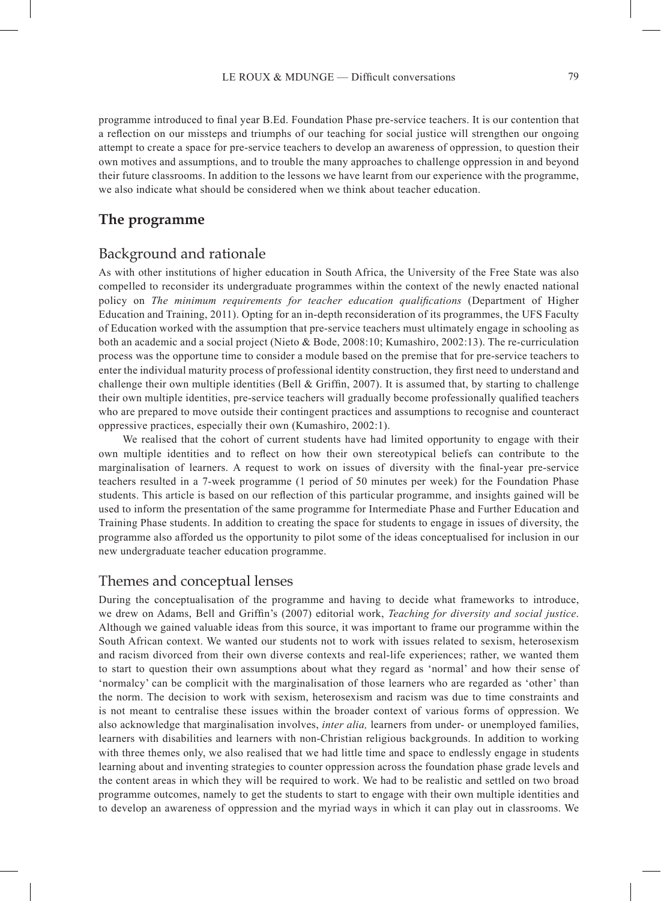programme introduced to final year B.Ed. Foundation Phase pre-service teachers. It is our contention that a reflection on our missteps and triumphs of our teaching for social justice will strengthen our ongoing attempt to create a space for pre-service teachers to develop an awareness of oppression, to question their own motives and assumptions, and to trouble the many approaches to challenge oppression in and beyond their future classrooms. In addition to the lessons we have learnt from our experience with the programme, we also indicate what should be considered when we think about teacher education.

# **The programme**

# Background and rationale

As with other institutions of higher education in South Africa, the University of the Free State was also compelled to reconsider its undergraduate programmes within the context of the newly enacted national policy on *The minimum requirements for teacher education qualifications* (Department of Higher Education and Training, 2011). Opting for an in-depth reconsideration of its programmes, the UFS Faculty of Education worked with the assumption that pre-service teachers must ultimately engage in schooling as both an academic and a social project (Nieto & Bode, 2008:10; Kumashiro, 2002:13). The re-curriculation process was the opportune time to consider a module based on the premise that for pre-service teachers to enter the individual maturity process of professional identity construction, they first need to understand and challenge their own multiple identities (Bell & Griffin, 2007). It is assumed that, by starting to challenge their own multiple identities, pre-service teachers will gradually become professionally qualified teachers who are prepared to move outside their contingent practices and assumptions to recognise and counteract oppressive practices, especially their own (Kumashiro, 2002:1).

We realised that the cohort of current students have had limited opportunity to engage with their own multiple identities and to reflect on how their own stereotypical beliefs can contribute to the marginalisation of learners. A request to work on issues of diversity with the final-year pre-service teachers resulted in a 7-week programme (1 period of 50 minutes per week) for the Foundation Phase students. This article is based on our reflection of this particular programme, and insights gained will be used to inform the presentation of the same programme for Intermediate Phase and Further Education and Training Phase students. In addition to creating the space for students to engage in issues of diversity, the programme also afforded us the opportunity to pilot some of the ideas conceptualised for inclusion in our new undergraduate teacher education programme.

# Themes and conceptual lenses

During the conceptualisation of the programme and having to decide what frameworks to introduce, we drew on Adams, Bell and Griffin's (2007) editorial work, *Teaching for diversity and social justice*. Although we gained valuable ideas from this source, it was important to frame our programme within the South African context. We wanted our students not to work with issues related to sexism, heterosexism and racism divorced from their own diverse contexts and real-life experiences; rather, we wanted them to start to question their own assumptions about what they regard as 'normal' and how their sense of 'normalcy' can be complicit with the marginalisation of those learners who are regarded as 'other' than the norm. The decision to work with sexism, heterosexism and racism was due to time constraints and is not meant to centralise these issues within the broader context of various forms of oppression. We also acknowledge that marginalisation involves, *inter alia,* learners from under- or unemployed families, learners with disabilities and learners with non-Christian religious backgrounds. In addition to working with three themes only, we also realised that we had little time and space to endlessly engage in students learning about and inventing strategies to counter oppression across the foundation phase grade levels and the content areas in which they will be required to work. We had to be realistic and settled on two broad programme outcomes, namely to get the students to start to engage with their own multiple identities and to develop an awareness of oppression and the myriad ways in which it can play out in classrooms. We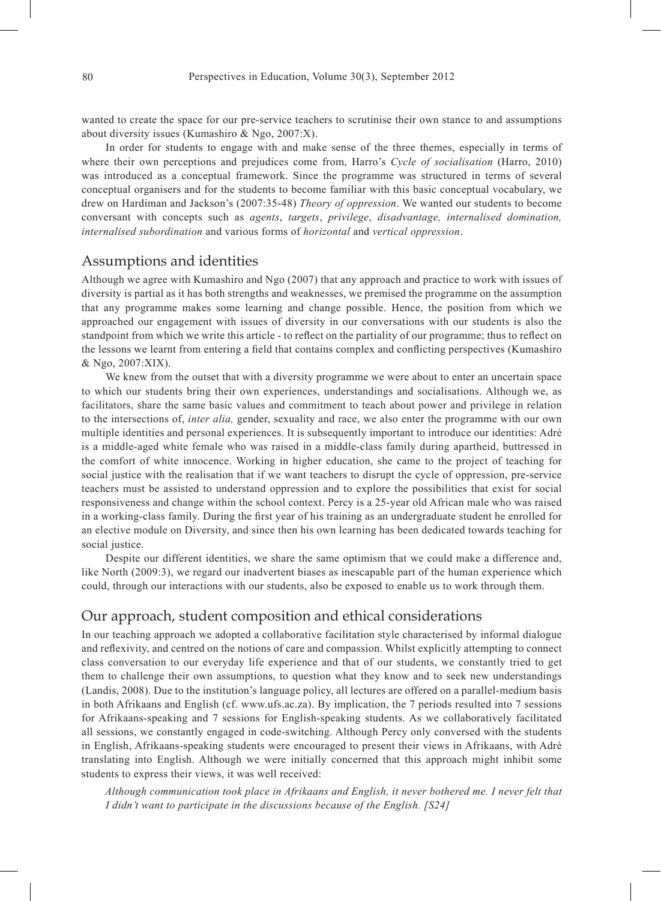wanted to create the space for our pre-service teachers to scrutinise their own stance to and assumptions about diversity issues (Kumashiro & Ngo, 2007:X).

In order for students to engage with and make sense of the three themes, especially in terms of where their own perceptions and prejudices come from, Harro's *Cycle of socialisation* (Harro, 2010) was introduced as a conceptual framework. Since the programme was structured in terms of several conceptual organisers and for the students to become familiar with this basic conceptual vocabulary, we drew on Hardiman and Jackson's (2007:35-48) *Theory of oppression*. We wanted our students to become conversant with concepts such as *agents*, *targets*, *privilege*, *disadvantage, internalised domination, internalised subordination* and various forms of *horizontal* and *vertical oppression*.

# Assumptions and identities

Although we agree with Kumashiro and Ngo (2007) that any approach and practice to work with issues of diversity is partial as it has both strengths and weaknesses, we premised the programme on the assumption that any programme makes some learning and change possible. Hence, the position from which we approached our engagement with issues of diversity in our conversations with our students is also the standpoint from which we write this article - to reflect on the partiality of our programme; thus to reflect on the lessons we learnt from entering a field that contains complex and conflicting perspectives (Kumashiro & Ngo, 2007:XIX).

We knew from the outset that with a diversity programme we were about to enter an uncertain space to which our students bring their own experiences, understandings and socialisations. Although we, as facilitators, share the same basic values and commitment to teach about power and privilege in relation to the intersections of, *inter alia,* gender, sexuality and race, we also enter the programme with our own multiple identities and personal experiences. It is subsequently important to introduce our identities: Adré is a middle-aged white female who was raised in a middle-class family during apartheid, buttressed in the comfort of white innocence. Working in higher education, she came to the project of teaching for social justice with the realisation that if we want teachers to disrupt the cycle of oppression, pre-service teachers must be assisted to understand oppression and to explore the possibilities that exist for social responsiveness and change within the school context. Percy is a 25-year old African male who was raised in a working-class family. During the first year of his training as an undergraduate student he enrolled for an elective module on Diversity, and since then his own learning has been dedicated towards teaching for social justice.

Despite our different identities, we share the same optimism that we could make a difference and, like North (2009:3), we regard our inadvertent biases as inescapable part of the human experience which could, through our interactions with our students, also be exposed to enable us to work through them.

# Our approach, student composition and ethical considerations

In our teaching approach we adopted a collaborative facilitation style characterised by informal dialogue and reflexivity, and centred on the notions of care and compassion. Whilst explicitly attempting to connect class conversation to our everyday life experience and that of our students, we constantly tried to get them to challenge their own assumptions, to question what they know and to seek new understandings (Landis, 2008). Due to the institution's language policy, all lectures are offered on a parallel-medium basis in both Afrikaans and English (cf. www.ufs.ac.za). By implication, the 7 periods resulted into 7 sessions for Afrikaans-speaking and 7 sessions for English-speaking students. As we collaboratively facilitated all sessions, we constantly engaged in code-switching. Although Percy only conversed with the students in English, Afrikaans-speaking students were encouraged to present their views in Afrikaans, with Adré translating into English. Although we were initially concerned that this approach might inhibit some students to express their views, it was well received:

*Although communication took place in Afrikaans and English, it never bothered me. I never felt that I didn't want to participate in the discussions because of the English. [S24]*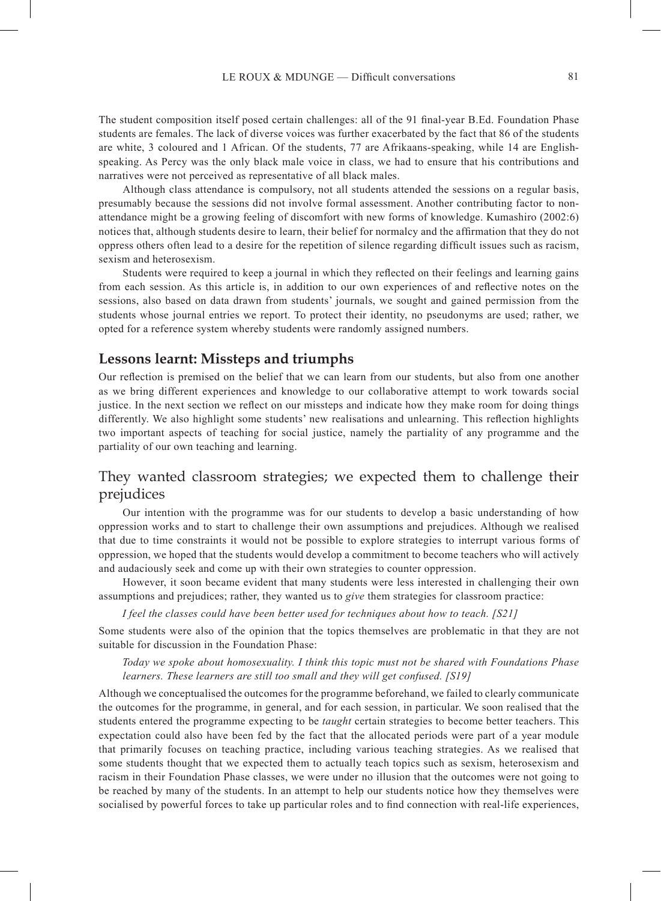The student composition itself posed certain challenges: all of the 91 final-year B.Ed. Foundation Phase students are females. The lack of diverse voices was further exacerbated by the fact that 86 of the students are white, 3 coloured and 1 African. Of the students, 77 are Afrikaans-speaking, while 14 are Englishspeaking. As Percy was the only black male voice in class, we had to ensure that his contributions and narratives were not perceived as representative of all black males.

Although class attendance is compulsory, not all students attended the sessions on a regular basis, presumably because the sessions did not involve formal assessment. Another contributing factor to nonattendance might be a growing feeling of discomfort with new forms of knowledge. Kumashiro (2002:6) notices that, although students desire to learn, their belief for normalcy and the affirmation that they do not oppress others often lead to a desire for the repetition of silence regarding difficult issues such as racism, sexism and heterosexism.

Students were required to keep a journal in which they reflected on their feelings and learning gains from each session. As this article is, in addition to our own experiences of and reflective notes on the sessions, also based on data drawn from students' journals, we sought and gained permission from the students whose journal entries we report. To protect their identity, no pseudonyms are used; rather, we opted for a reference system whereby students were randomly assigned numbers.

#### **Lessons learnt: Missteps and triumphs**

Our reflection is premised on the belief that we can learn from our students, but also from one another as we bring different experiences and knowledge to our collaborative attempt to work towards social justice. In the next section we reflect on our missteps and indicate how they make room for doing things differently. We also highlight some students' new realisations and unlearning. This reflection highlights two important aspects of teaching for social justice, namely the partiality of any programme and the partiality of our own teaching and learning.

# They wanted classroom strategies; we expected them to challenge their prejudices

Our intention with the programme was for our students to develop a basic understanding of how oppression works and to start to challenge their own assumptions and prejudices. Although we realised that due to time constraints it would not be possible to explore strategies to interrupt various forms of oppression, we hoped that the students would develop a commitment to become teachers who will actively and audaciously seek and come up with their own strategies to counter oppression.

However, it soon became evident that many students were less interested in challenging their own assumptions and prejudices; rather, they wanted us to *give* them strategies for classroom practice:

*I feel the classes could have been better used for techniques about how to teach. [S21]*

Some students were also of the opinion that the topics themselves are problematic in that they are not suitable for discussion in the Foundation Phase:

*Today we spoke about homosexuality. I think this topic must not be shared with Foundations Phase learners. These learners are still too small and they will get confused. [S19]*

Although we conceptualised the outcomes for the programme beforehand, we failed to clearly communicate the outcomes for the programme, in general, and for each session, in particular. We soon realised that the students entered the programme expecting to be *taught* certain strategies to become better teachers. This expectation could also have been fed by the fact that the allocated periods were part of a year module that primarily focuses on teaching practice, including various teaching strategies. As we realised that some students thought that we expected them to actually teach topics such as sexism, heterosexism and racism in their Foundation Phase classes, we were under no illusion that the outcomes were not going to be reached by many of the students. In an attempt to help our students notice how they themselves were socialised by powerful forces to take up particular roles and to find connection with real-life experiences,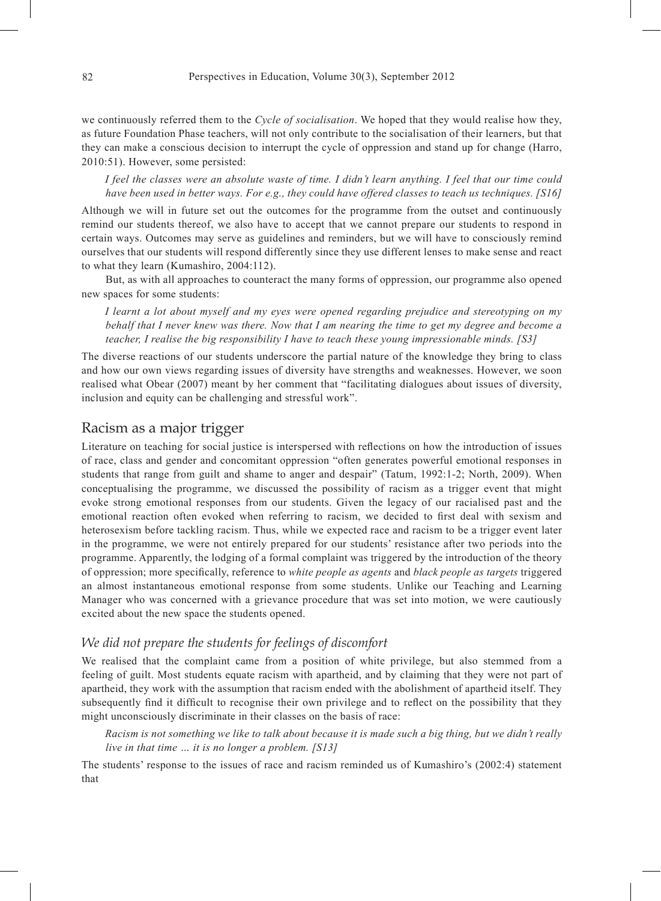we continuously referred them to the *Cycle of socialisation*. We hoped that they would realise how they, as future Foundation Phase teachers, will not only contribute to the socialisation of their learners, but that they can make a conscious decision to interrupt the cycle of oppression and stand up for change (Harro, 2010:51). However, some persisted:

*I feel the classes were an absolute waste of time. I didn't learn anything. I feel that our time could have been used in better ways. For e.g., they could have offered classes to teach us techniques. [S16]*

Although we will in future set out the outcomes for the programme from the outset and continuously remind our students thereof, we also have to accept that we cannot prepare our students to respond in certain ways. Outcomes may serve as guidelines and reminders, but we will have to consciously remind ourselves that our students will respond differently since they use different lenses to make sense and react to what they learn (Kumashiro, 2004:112).

But, as with all approaches to counteract the many forms of oppression, our programme also opened new spaces for some students:

*I learnt a lot about myself and my eyes were opened regarding prejudice and stereotyping on my behalf that I never knew was there. Now that I am nearing the time to get my degree and become a teacher, I realise the big responsibility I have to teach these young impressionable minds. [S3]*

The diverse reactions of our students underscore the partial nature of the knowledge they bring to class and how our own views regarding issues of diversity have strengths and weaknesses. However, we soon realised what Obear (2007) meant by her comment that "facilitating dialogues about issues of diversity, inclusion and equity can be challenging and stressful work".

#### Racism as a major trigger

Literature on teaching for social justice is interspersed with reflections on how the introduction of issues of race, class and gender and concomitant oppression "often generates powerful emotional responses in students that range from guilt and shame to anger and despair" (Tatum, 1992:1-2; North, 2009). When conceptualising the programme, we discussed the possibility of racism as a trigger event that might evoke strong emotional responses from our students. Given the legacy of our racialised past and the emotional reaction often evoked when referring to racism, we decided to first deal with sexism and heterosexism before tackling racism. Thus, while we expected race and racism to be a trigger event later in the programme, we were not entirely prepared for our students' resistance after two periods into the programme. Apparently, the lodging of a formal complaint was triggered by the introduction of the theory of oppression; more specifically, reference to *white people as agents* and *black people as targets* triggered an almost instantaneous emotional response from some students. Unlike our Teaching and Learning Manager who was concerned with a grievance procedure that was set into motion, we were cautiously excited about the new space the students opened.

#### *We did not prepare the students for feelings of discomfort*

We realised that the complaint came from a position of white privilege, but also stemmed from a feeling of guilt. Most students equate racism with apartheid, and by claiming that they were not part of apartheid, they work with the assumption that racism ended with the abolishment of apartheid itself. They subsequently find it difficult to recognise their own privilege and to reflect on the possibility that they might unconsciously discriminate in their classes on the basis of race:

*Racism is not something we like to talk about because it is made such a big thing, but we didn't really live in that time … it is no longer a problem. [S13]*

The students' response to the issues of race and racism reminded us of Kumashiro's (2002:4) statement that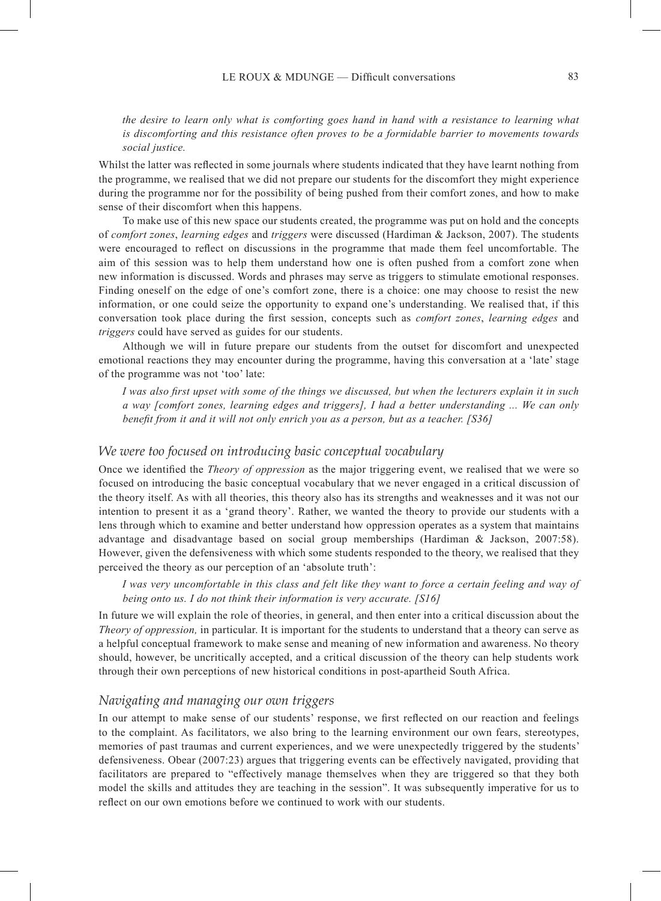*the desire to learn only what is comforting goes hand in hand with a resistance to learning what is discomforting and this resistance often proves to be a formidable barrier to movements towards social justice.*

Whilst the latter was reflected in some journals where students indicated that they have learnt nothing from the programme, we realised that we did not prepare our students for the discomfort they might experience during the programme nor for the possibility of being pushed from their comfort zones, and how to make sense of their discomfort when this happens.

To make use of this new space our students created, the programme was put on hold and the concepts of *comfort zones*, *learning edges* and *triggers* were discussed (Hardiman & Jackson, 2007). The students were encouraged to reflect on discussions in the programme that made them feel uncomfortable. The aim of this session was to help them understand how one is often pushed from a comfort zone when new information is discussed. Words and phrases may serve as triggers to stimulate emotional responses. Finding oneself on the edge of one's comfort zone, there is a choice: one may choose to resist the new information, or one could seize the opportunity to expand one's understanding. We realised that, if this conversation took place during the first session, concepts such as *comfort zones*, *learning edges* and *triggers* could have served as guides for our students.

Although we will in future prepare our students from the outset for discomfort and unexpected emotional reactions they may encounter during the programme, having this conversation at a 'late' stage of the programme was not 'too' late:

*I was also first upset with some of the things we discussed, but when the lecturers explain it in such a way [comfort zones, learning edges and triggers], I had a better understanding ... We can only benefit from it and it will not only enrich you as a person, but as a teacher. [S36]*

#### *We were too focused on introducing basic conceptual vocabulary*

Once we identified the *Theory of oppression* as the major triggering event, we realised that we were so focused on introducing the basic conceptual vocabulary that we never engaged in a critical discussion of the theory itself. As with all theories, this theory also has its strengths and weaknesses and it was not our intention to present it as a 'grand theory'. Rather, we wanted the theory to provide our students with a lens through which to examine and better understand how oppression operates as a system that maintains advantage and disadvantage based on social group memberships (Hardiman & Jackson, 2007:58). However, given the defensiveness with which some students responded to the theory, we realised that they perceived the theory as our perception of an 'absolute truth':

*I was very uncomfortable in this class and felt like they want to force a certain feeling and way of being onto us. I do not think their information is very accurate. [S16]*

In future we will explain the role of theories, in general, and then enter into a critical discussion about the *Theory of oppression,* in particular. It is important for the students to understand that a theory can serve as a helpful conceptual framework to make sense and meaning of new information and awareness. No theory should, however, be uncritically accepted, and a critical discussion of the theory can help students work through their own perceptions of new historical conditions in post-apartheid South Africa.

### *Navigating and managing our own triggers*

In our attempt to make sense of our students' response, we first reflected on our reaction and feelings to the complaint. As facilitators, we also bring to the learning environment our own fears, stereotypes, memories of past traumas and current experiences, and we were unexpectedly triggered by the students' defensiveness. Obear (2007:23) argues that triggering events can be effectively navigated, providing that facilitators are prepared to "effectively manage themselves when they are triggered so that they both model the skills and attitudes they are teaching in the session". It was subsequently imperative for us to reflect on our own emotions before we continued to work with our students.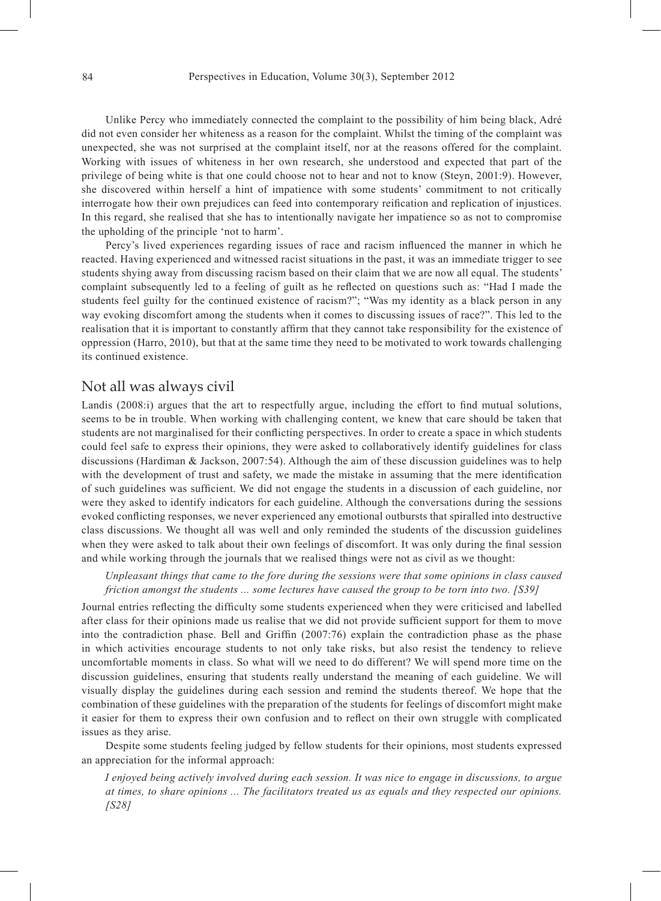Unlike Percy who immediately connected the complaint to the possibility of him being black, Adré did not even consider her whiteness as a reason for the complaint. Whilst the timing of the complaint was unexpected, she was not surprised at the complaint itself, nor at the reasons offered for the complaint. Working with issues of whiteness in her own research, she understood and expected that part of the privilege of being white is that one could choose not to hear and not to know (Steyn, 2001:9). However, she discovered within herself a hint of impatience with some students' commitment to not critically interrogate how their own prejudices can feed into contemporary reification and replication of injustices. In this regard, she realised that she has to intentionally navigate her impatience so as not to compromise the upholding of the principle 'not to harm'.

Percy's lived experiences regarding issues of race and racism influenced the manner in which he reacted. Having experienced and witnessed racist situations in the past, it was an immediate trigger to see students shying away from discussing racism based on their claim that we are now all equal. The students' complaint subsequently led to a feeling of guilt as he reflected on questions such as: "Had I made the students feel guilty for the continued existence of racism?"; "Was my identity as a black person in any way evoking discomfort among the students when it comes to discussing issues of race?". This led to the realisation that it is important to constantly affirm that they cannot take responsibility for the existence of oppression (Harro, 2010), but that at the same time they need to be motivated to work towards challenging its continued existence.

#### Not all was always civil

Landis (2008:i) argues that the art to respectfully argue, including the effort to find mutual solutions, seems to be in trouble. When working with challenging content, we knew that care should be taken that students are not marginalised for their conflicting perspectives. In order to create a space in which students could feel safe to express their opinions, they were asked to collaboratively identify guidelines for class discussions (Hardiman & Jackson, 2007:54). Although the aim of these discussion guidelines was to help with the development of trust and safety, we made the mistake in assuming that the mere identification of such guidelines was sufficient. We did not engage the students in a discussion of each guideline, nor were they asked to identify indicators for each guideline. Although the conversations during the sessions evoked conflicting responses, we never experienced any emotional outbursts that spiralled into destructive class discussions. We thought all was well and only reminded the students of the discussion guidelines when they were asked to talk about their own feelings of discomfort. It was only during the final session and while working through the journals that we realised things were not as civil as we thought:

*Unpleasant things that came to the fore during the sessions were that some opinions in class caused friction amongst the students ... some lectures have caused the group to be torn into two. [S39]*

Journal entries reflecting the difficulty some students experienced when they were criticised and labelled after class for their opinions made us realise that we did not provide sufficient support for them to move into the contradiction phase. Bell and Griffin (2007:76) explain the contradiction phase as the phase in which activities encourage students to not only take risks, but also resist the tendency to relieve uncomfortable moments in class. So what will we need to do different? We will spend more time on the discussion guidelines, ensuring that students really understand the meaning of each guideline. We will visually display the guidelines during each session and remind the students thereof. We hope that the combination of these guidelines with the preparation of the students for feelings of discomfort might make it easier for them to express their own confusion and to reflect on their own struggle with complicated issues as they arise.

Despite some students feeling judged by fellow students for their opinions, most students expressed an appreciation for the informal approach:

*I enjoyed being actively involved during each session. It was nice to engage in discussions, to argue at times, to share opinions ... The facilitators treated us as equals and they respected our opinions. [S28]*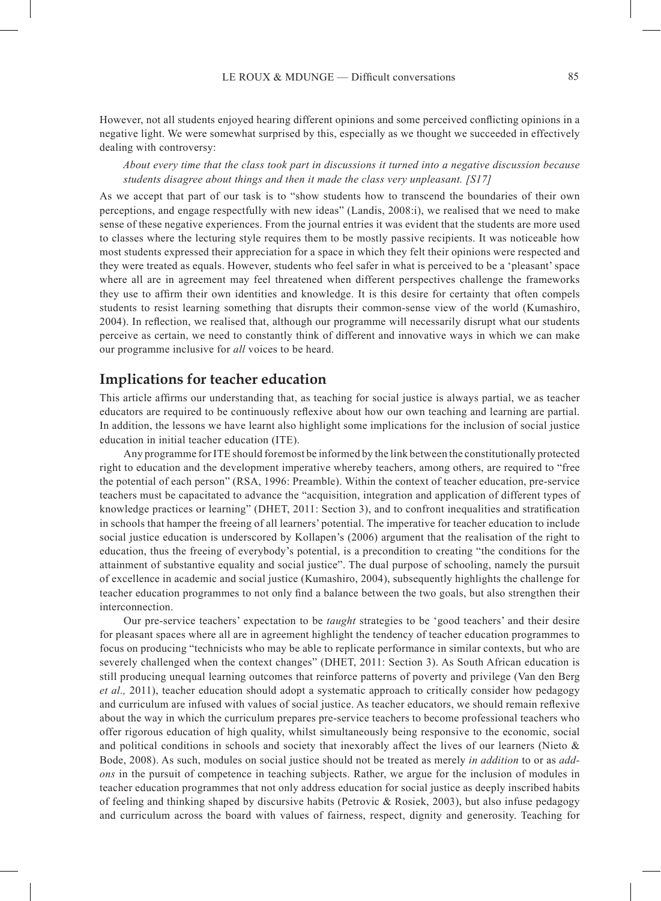However, not all students enjoyed hearing different opinions and some perceived conflicting opinions in a negative light. We were somewhat surprised by this, especially as we thought we succeeded in effectively dealing with controversy:

*About every time that the class took part in discussions it turned into a negative discussion because students disagree about things and then it made the class very unpleasant. [S17]*

As we accept that part of our task is to "show students how to transcend the boundaries of their own perceptions, and engage respectfully with new ideas" (Landis, 2008:i), we realised that we need to make sense of these negative experiences. From the journal entries it was evident that the students are more used to classes where the lecturing style requires them to be mostly passive recipients. It was noticeable how most students expressed their appreciation for a space in which they felt their opinions were respected and they were treated as equals. However, students who feel safer in what is perceived to be a 'pleasant' space where all are in agreement may feel threatened when different perspectives challenge the frameworks they use to affirm their own identities and knowledge. It is this desire for certainty that often compels students to resist learning something that disrupts their common-sense view of the world (Kumashiro, 2004). In reflection, we realised that, although our programme will necessarily disrupt what our students perceive as certain, we need to constantly think of different and innovative ways in which we can make our programme inclusive for *all* voices to be heard.

### **Implications for teacher education**

This article affirms our understanding that, as teaching for social justice is always partial, we as teacher educators are required to be continuously reflexive about how our own teaching and learning are partial. In addition, the lessons we have learnt also highlight some implications for the inclusion of social justice education in initial teacher education (ITE).

Any programme for ITE should foremost be informed by the link between the constitutionally protected right to education and the development imperative whereby teachers, among others, are required to "free the potential of each person" (RSA, 1996: Preamble). Within the context of teacher education, pre-service teachers must be capacitated to advance the "acquisition, integration and application of different types of knowledge practices or learning" (DHET, 2011: Section 3), and to confront inequalities and stratification in schools that hamper the freeing of all learners' potential. The imperative for teacher education to include social justice education is underscored by Kollapen's (2006) argument that the realisation of the right to education, thus the freeing of everybody's potential, is a precondition to creating "the conditions for the attainment of substantive equality and social justice". The dual purpose of schooling, namely the pursuit of excellence in academic and social justice (Kumashiro, 2004), subsequently highlights the challenge for teacher education programmes to not only find a balance between the two goals, but also strengthen their interconnection.

Our pre-service teachers' expectation to be *taught* strategies to be 'good teachers' and their desire for pleasant spaces where all are in agreement highlight the tendency of teacher education programmes to focus on producing "technicists who may be able to replicate performance in similar contexts, but who are severely challenged when the context changes" (DHET, 2011: Section 3). As South African education is still producing unequal learning outcomes that reinforce patterns of poverty and privilege (Van den Berg *et al.,* 2011), teacher education should adopt a systematic approach to critically consider how pedagogy and curriculum are infused with values of social justice. As teacher educators, we should remain reflexive about the way in which the curriculum prepares pre-service teachers to become professional teachers who offer rigorous education of high quality, whilst simultaneously being responsive to the economic, social and political conditions in schools and society that inexorably affect the lives of our learners (Nieto  $\&$ Bode, 2008). As such, modules on social justice should not be treated as merely *in addition* to or as *addons* in the pursuit of competence in teaching subjects. Rather, we argue for the inclusion of modules in teacher education programmes that not only address education for social justice as deeply inscribed habits of feeling and thinking shaped by discursive habits (Petrovic & Rosiek, 2003), but also infuse pedagogy and curriculum across the board with values of fairness, respect, dignity and generosity. Teaching for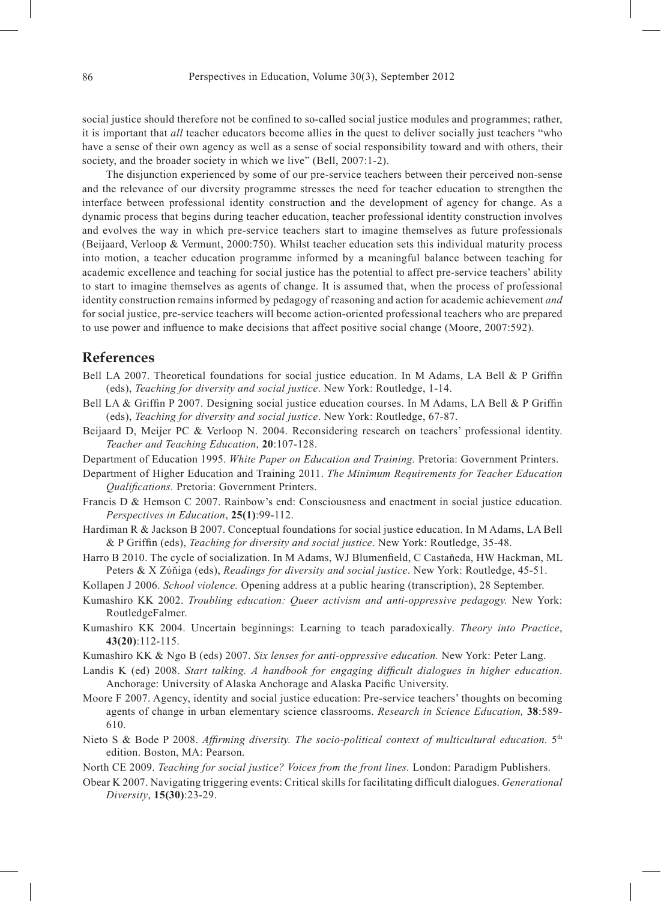social justice should therefore not be confined to so-called social justice modules and programmes; rather, it is important that *all* teacher educators become allies in the quest to deliver socially just teachers "who have a sense of their own agency as well as a sense of social responsibility toward and with others, their society, and the broader society in which we live" (Bell, 2007:1-2).

The disjunction experienced by some of our pre-service teachers between their perceived non-sense and the relevance of our diversity programme stresses the need for teacher education to strengthen the interface between professional identity construction and the development of agency for change. As a dynamic process that begins during teacher education, teacher professional identity construction involves and evolves the way in which pre-service teachers start to imagine themselves as future professionals (Beijaard, Verloop & Vermunt, 2000:750). Whilst teacher education sets this individual maturity process into motion, a teacher education programme informed by a meaningful balance between teaching for academic excellence and teaching for social justice has the potential to affect pre-service teachers' ability to start to imagine themselves as agents of change. It is assumed that, when the process of professional identity construction remains informed by pedagogy of reasoning and action for academic achievement *and* for social justice, pre-service teachers will become action-oriented professional teachers who are prepared to use power and influence to make decisions that affect positive social change (Moore, 2007:592).

### **References**

- Bell LA 2007. Theoretical foundations for social justice education. In M Adams, LA Bell & P Griffin (eds), *Teaching for diversity and social justice*. New York: Routledge, 1-14.
- Bell LA & Griffin P 2007. Designing social justice education courses. In M Adams, LA Bell & P Griffin (eds), *Teaching for diversity and social justice*. New York: Routledge, 67-87.
- Beijaard D, Meijer PC & Verloop N. 2004. Reconsidering research on teachers' professional identity. *Teacher and Teaching Education*, **20**:107-128.
- Department of Education 1995. *White Paper on Education and Training.* Pretoria: Government Printers.
- Department of Higher Education and Training 2011. *The Minimum Requirements for Teacher Education Qualifications.* Pretoria: Government Printers.
- Francis D & Hemson C 2007. Rainbow's end: Consciousness and enactment in social justice education. *Perspectives in Education*, **25(1)**:99-112.
- Hardiman R & Jackson B 2007. Conceptual foundations for social justice education. In M Adams, LA Bell & P Griffin (eds), *Teaching for diversity and social justice*. New York: Routledge, 35-48.
- Harro B 2010. The cycle of socialization. In M Adams, WJ Blumenfield, C Castaňeda, HW Hackman, ML Peters & X Zύňiga (eds), *Readings for diversity and social justice*. New York: Routledge, 45-51.
- Kollapen J 2006. *School violence.* Opening address at a public hearing (transcription), 28 September.
- Kumashiro KK 2002. *Troubling education: Queer activism and anti-oppressive pedagogy.* New York: RoutledgeFalmer.
- Kumashiro KK 2004. Uncertain beginnings: Learning to teach paradoxically. *Theory into Practice*, **43(20)**:112-115.
- Kumashiro KK & Ngo B (eds) 2007. *Six lenses for anti-oppressive education.* New York: Peter Lang.
- Landis K (ed) 2008. *Start talking. A handbook for engaging difficult dialogues in higher education*. Anchorage: University of Alaska Anchorage and Alaska Pacific University.
- Moore F 2007. Agency, identity and social justice education: Pre-service teachers' thoughts on becoming agents of change in urban elementary science classrooms. *Research in Science Education,* **38**:589- 610.
- Nieto S & Bode P 2008. *Affirming diversity. The socio-political context of multicultural education*. <sup>5th</sup> edition. Boston, MA: Pearson.
- North CE 2009. *Teaching for social justice? Voices from the front lines.* London: Paradigm Publishers.
- Obear K 2007. Navigating triggering events: Critical skills for facilitating difficult dialogues. *Generational Diversity*, **15(30)**:23-29.